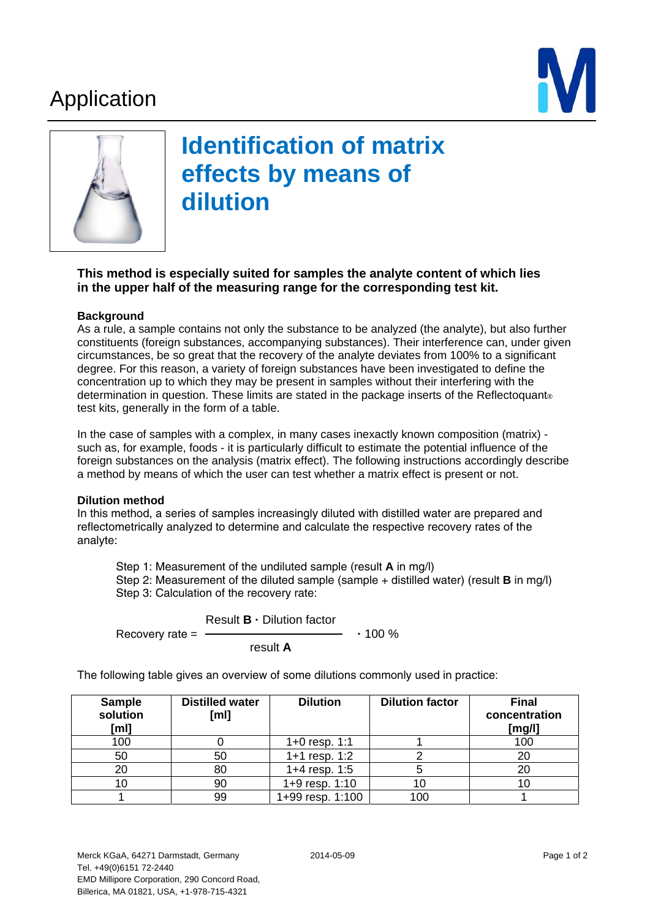## Application





# **Identification of matrix effects by means of dilution**

### **This method is especially suited for samples the analyte content of which lies in the upper half of the measuring range for the corresponding test kit.**

#### **Background**

As a rule, a sample contains not only the substance to be analyzed (the analyte), but also further constituents (foreign substances, accompanying substances). Their interference can, under given circumstances, be so great that the recovery of the analyte deviates from 100% to a significant degree. For this reason, a variety of foreign substances have been investigated to define the concentration up to which they may be present in samples without their interfering with the determination in question. These limits are stated in the package inserts of the Reflectoquant® test kits, generally in the form of a table.

In the case of samples with a complex, in many cases inexactly known composition (matrix) such as, for example, foods - it is particularly difficult to estimate the potential influence of the foreign substances on the analysis (matrix effect). The following instructions accordingly describe a method by means of which the user can test whether a matrix effect is present or not.

#### **Dilution method**

In this method, a series of samples increasingly diluted with distilled water are prepared and reflectometrically analyzed to determine and calculate the respective recovery rates of the analyte:

Step 1: Measurement of the undiluted sample (result **A** in mg/l) Step 2: Measurement of the diluted sample (sample + distilled water) (result **B** in mg/l) Step 3: Calculation of the recovery rate:

Result **B ·** Dilution factor Recovery rate =  $\longrightarrow$  100 % result **A** 

The following table gives an overview of some dilutions commonly used in practice:

| <b>Sample</b><br>solution<br>[ml] | <b>Distilled water</b><br>[ml] | <b>Dilution</b>  | <b>Dilution factor</b> | <b>Final</b><br>concentration<br>[mg/l] |
|-----------------------------------|--------------------------------|------------------|------------------------|-----------------------------------------|
| 100                               |                                | $1+0$ resp. 1:1  |                        | 100                                     |
| 50                                | 50                             | 1+1 $resp. 1:2$  |                        | 20                                      |
| 20                                | 80                             | 1+4 $resp. 1:5$  |                        | 20                                      |
|                                   | 90                             | $1+9$ resp. 1:10 |                        |                                         |
|                                   | 99                             | 1+99 resp. 1:100 | 100                    |                                         |